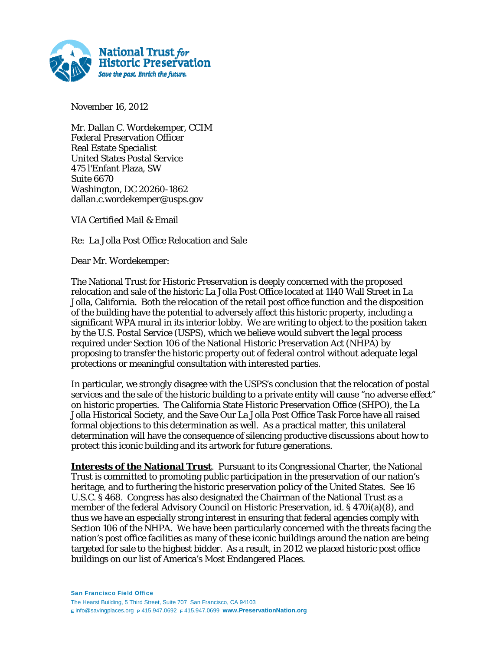

November 16, 2012

Mr. Dallan C. Wordekemper, CCIM Federal Preservation Officer Real Estate Specialist United States Postal Service 475 l'Enfant Plaza, SW Suite 6670 Washington, DC 20260-1862 dallan.c.wordekemper@usps.gov

VIA Certified Mail & Email

Re: La Jolla Post Office Relocation and Sale

Dear Mr. Wordekemper:

The National Trust for Historic Preservation is deeply concerned with the proposed relocation and sale of the historic La Jolla Post Office located at 1140 Wall Street in La Jolla, California. Both the relocation of the retail post office function and the disposition of the building have the potential to adversely affect this historic property, including a significant WPA mural in its interior lobby. We are writing to object to the position taken by the U.S. Postal Service (USPS), which we believe would subvert the legal process required under Section 106 of the National Historic Preservation Act (NHPA) by proposing to transfer the historic property out of federal control without adequate legal protections or meaningful consultation with interested parties.

In particular, we strongly disagree with the USPS's conclusion that the relocation of postal services and the sale of the historic building to a private entity will cause "no adverse effect" on historic properties. The California State Historic Preservation Office (SHPO), the La Jolla Historical Society, and the Save Our La Jolla Post Office Task Force have all raised formal objections to this determination as well. As a practical matter, this unilateral determination will have the consequence of silencing productive discussions about how to protect this iconic building and its artwork for future generations.

**Interests of the National Trust**. Pursuant to its Congressional Charter, the National Trust is committed to promoting public participation in the preservation of our nation's heritage, and to furthering the historic preservation policy of the United States. *See* 16 U.S.C. § 468. Congress has also designated the Chairman of the National Trust as a member of the federal Advisory Council on Historic Preservation, *id*. § 470i(a)(8), and thus we have an especially strong interest in ensuring that federal agencies comply with Section 106 of the NHPA. We have been particularly concerned with the threats facing the nation's post office facilities as many of these iconic buildings around the nation are being targeted for sale to the highest bidder. As a result, in 2012 we placed historic post office buildings on our list of America's Most Endangered Places.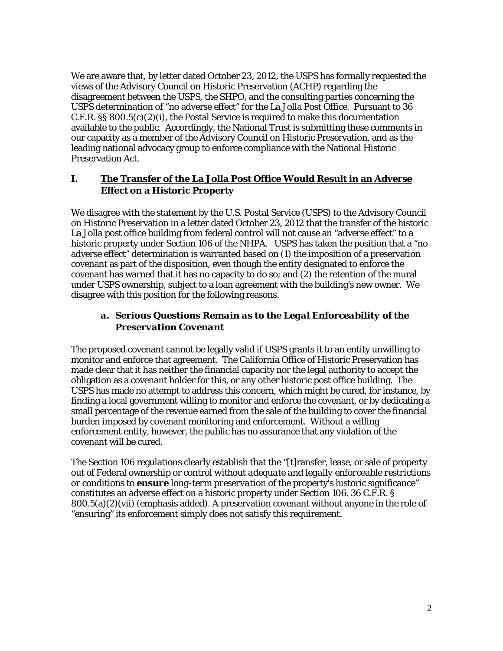We are aware that, by letter dated October 23, 2012, the USPS has formally requested the views of the Advisory Council on Historic Preservation (ACHP) regarding the disagreement between the USPS, the SHPO, and the consulting parties concerning the USPS determination of "no adverse effect" for the La Jolla Post Office. Pursuant to 36 C.F.R. §§ 800.5(c)(2)(i), the Postal Service is required to make this documentation available to the public. Accordingly, the National Trust is submitting these comments in our capacity as a member of the Advisory Council on Historic Preservation, and as the leading national advocacy group to enforce compliance with the National Historic Preservation Act.

### **I. The Transfer of the La Jolla Post Office Would Result in an Adverse Effect on a Historic Property**

We disagree with the statement by the U.S. Postal Service (USPS) to the Advisory Council on Historic Preservation in a letter dated October 23, 2012 that the transfer of the historic La Jolla post office building from federal control will not cause an "adverse effect" to a historic property under Section 106 of the NHPA. USPS has taken the position that a "no adverse effect" determination is warranted based on (1) the imposition of a preservation covenant as part of the disposition, even though the entity designated to enforce the covenant has warned that it has no capacity to do so; and (2) the retention of the mural under USPS ownership, subject to a loan agreement with the building's new owner. We disagree with this position for the following reasons.

## *a. Serious Questions Remain as to the Legal Enforceability of the Preservation Covenant*

The proposed covenant cannot be legally valid if USPS grants it to an entity unwilling to monitor and enforce that agreement. The California Office of Historic Preservation has made clear that it has neither the financial capacity nor the legal authority to accept the obligation as a covenant holder for this, or any other historic post office building. The USPS has made no attempt to address this concern, which might be cured, for instance, by finding a local government willing to monitor and enforce the covenant, or by dedicating a small percentage of the revenue earned from the sale of the building to cover the financial burden imposed by covenant monitoring and enforcement. Without a willing enforcement entity, however, the public has no assurance that any violation of the covenant will be cured.

The Section 106 regulations clearly establish that the "[t]ransfer, lease, or sale of property out of Federal ownership or control *without adequate and legally enforceable restrictions or conditions to ensure long-term preservation* of the property's historic significance" constitutes an adverse effect on a historic property under Section 106. 36 C.F.R. §  $800.5(a)(2)(vii)$  (emphasis added). A preservation covenant without anyone in the role of "ensuring" its enforcement simply does not satisfy this requirement.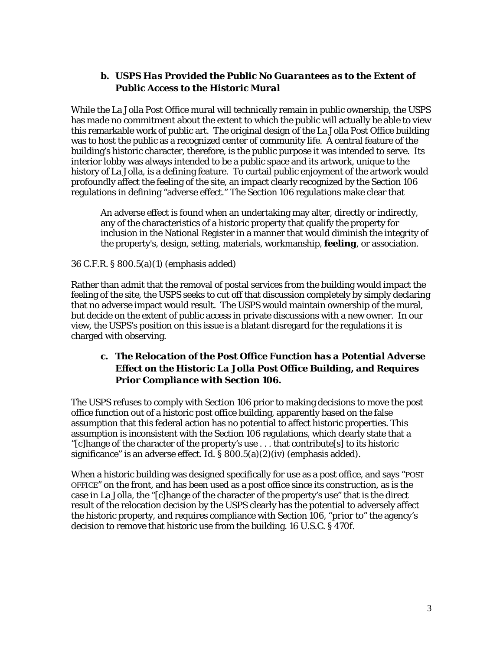### *b. USPS Has Provided the Public No Guarantees as to the Extent of Public Access to the Historic Mural*

While the La Jolla Post Office mural will technically remain in public ownership, the USPS has made no commitment about the extent to which the public will actually be able to view this remarkable work of public art. The original design of the La Jolla Post Office building was to host the public as a recognized center of community life. A central feature of the building's historic character, therefore, is the public purpose it was intended to serve. Its interior lobby was always intended to be a public space and its artwork, unique to the history of La Jolla, is a defining feature. To curtail public enjoyment of the artwork would profoundly affect the feeling of the site, an impact clearly recognized by the Section 106 regulations in defining "adverse effect." The Section 106 regulations make clear that

An adverse effect is found when an undertaking may alter, directly or indirectly, any of the characteristics of a historic property that qualify the property for inclusion in the National Register in a manner that would diminish the integrity of the property's, design, setting, materials, workmanship, *feeling,* or association.

#### 36 C.F.R. § 800.5(a)(1) (emphasis added)

Rather than admit that the removal of postal services from the building would impact the feeling of the site, the USPS seeks to cut off that discussion completely by simply declaring that no adverse impact would result. The USPS would maintain ownership of the mural, but decide on the extent of public access in private discussions with a new owner. In our view, the USPS's position on this issue is a blatant disregard for the regulations it is charged with observing.

### *c. The Relocation of the Post Office Function has a Potential Adverse Effect on the Historic La Jolla Post Office Building, and Requires Prior Compliance with Section 106.*

The USPS refuses to comply with Section 106 prior to making decisions to move the post office function out of a historic post office building, apparently based on the false assumption that this federal action has no potential to affect historic properties. This assumption is inconsistent with the Section 106 regulations, which clearly state that a "[c]hange of the character of the property's *use* . . . that contribute[s] to its historic significance" is an adverse effect. *Id*. § 800.5(a)(2)(iv) (emphasis added).

When a historic building was designed specifically for use as a post office, and says "POST OFFICE" on the front, and has been used as a post office since its construction, as is the case in La Jolla, the "[c]hange of the character of the property's use" that is the direct result of the relocation decision by the USPS clearly has the potential to adversely affect the historic property, and requires compliance with Section 106, "*prior to*" the agency's decision to remove that historic use from the building. 16 U.S.C. § 470f.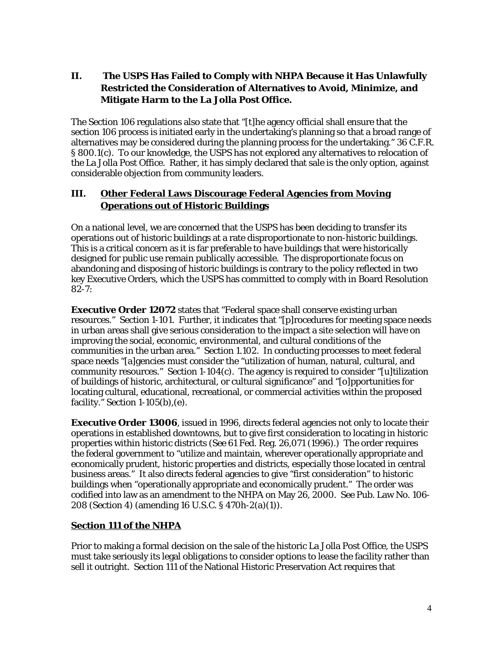## **II. The USPS Has Failed to Comply with NHPA Because it Has Unlawfully Restricted the Consideration of Alternatives to Avoid, Minimize, and Mitigate Harm to the La Jolla Post Office.**

The Section 106 regulations also state that "[t]he agency official shall ensure that the section 106 process is initiated early in the undertaking's planning so that a broad range of alternatives may be considered during the planning process for the undertaking." 36 C.F.R. § 800.1(c). To our knowledge, the USPS has not explored any alternatives to relocation of the La Jolla Post Office. Rather, it has simply declared that sale is the only option, against considerable objection from community leaders.

# **III. Other Federal Laws Discourage Federal Agencies from Moving Operations out of Historic Buildings**

On a national level, we are concerned that the USPS has been deciding to transfer its operations out of historic buildings at a rate disproportionate to non-historic buildings. This is a critical concern as it is far preferable to have buildings that were historically designed for public use remain publically accessible. The disproportionate focus on abandoning and disposing of historic buildings is contrary to the policy reflected in two key Executive Orders, which the USPS has committed to comply with in Board Resolution  $82 - 7:$ 

**Executive Order 12072** states that "Federal space shall conserve existing urban resources." Section 1-101. Further, it indicates that "[p]rocedures for meeting space needs in urban areas shall give serious consideration to the impact a site selection will have on improving the social, economic, environmental, and cultural conditions of the communities in the urban area." Section 1.102. In conducting processes to meet federal space needs "[a]gencies must consider the "utilization of human, natural, cultural, and community resources." Section  $1-104(c)$ . The agency is required to consider "[u]tilization of buildings of historic, architectural, or cultural significance" and "[o]pportunities for locating cultural, educational, recreational, or commercial activities within the proposed facility." Section 1-105(b),(e).

**Executive Order 13006**, issued in 1996, directs federal agencies not only to locate their operations in established downtowns, but to give first consideration to locating in historic properties within historic districts (*See* 61 Fed. Reg. 26,071 (1996).) The order requires the federal government to "utilize and maintain, wherever operationally appropriate and economically prudent, historic properties and districts, especially those located in central business areas." It also directs federal agencies to give "first consideration" to historic buildings when "operationally appropriate and economically prudent." The order was codified into law as an amendment to the NHPA on May 26, 2000. *See* Pub. Law No. 106- 208 (Section 4) (amending 16 U.S.C. § 470h-2(a)(1)).

## **Section 111 of the NHPA**

Prior to making a formal decision on the sale of the historic La Jolla Post Office, the USPS must take seriously its legal obligations to consider options to lease the facility rather than sell it outright. Section 111 of the National Historic Preservation Act requires that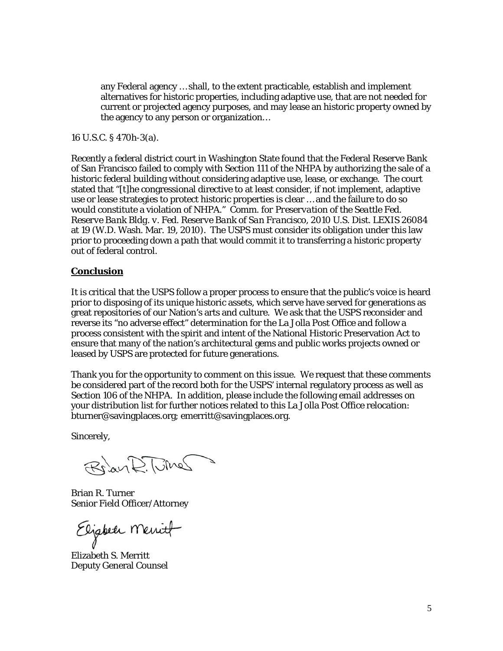any Federal agency … shall, to the extent practicable, establish and implement alternatives for historic properties, including adaptive use, that are not needed for current or projected agency purposes, and may lease an historic property owned by the agency to any person or organization…

16 U.S.C. § 470h-3(a).

Recently a federal district court in Washington State found that the Federal Reserve Bank of San Francisco failed to comply with Section 111 of the NHPA by authorizing the sale of a historic federal building without considering adaptive use, lease, or exchange. The court stated that "[t]he congressional directive to at least consider, if not implement, adaptive use or lease strategies to protect historic properties is clear … and the failure to do so would constitute a violation of NHPA." *Comm. for Preservation of the Seattle Fed. Reserve Bank Bldg. v. Fed. Reserve Bank of San Francisco*, 2010 U.S. Dist. LEXIS 26084 at 19 (W.D. Wash. Mar. 19, 2010). The USPS must consider its obligation under this law prior to proceeding down a path that would commit it to transferring a historic property out of federal control.

#### **Conclusion**

It is critical that the USPS follow a proper process to ensure that the public's voice is heard prior to disposing of its unique historic assets, which serve have served for generations as great repositories of our Nation's arts and culture. We ask that the USPS reconsider and reverse its "no adverse effect" determination for the La Jolla Post Office and follow a process consistent with the spirit and intent of the National Historic Preservation Act to ensure that many of the nation's architectural gems and public works projects owned or leased by USPS are protected for future generations.

Thank you for the opportunity to comment on this issue. We request that these comments be considered part of the record both for the USPS' internal regulatory process as well as Section 106 of the NHPA. In addition, please include the following email addresses on your distribution list for further notices related to this La Jolla Post Office relocation: bturner@savingplaces.org; emerritt@savingplaces.org.

Sincerely,

Riay R. The

Brian R. Turner Senior Field Officer/Attorney

Elizabeth Menit

Elizabeth S. Merritt Deputy General Counsel